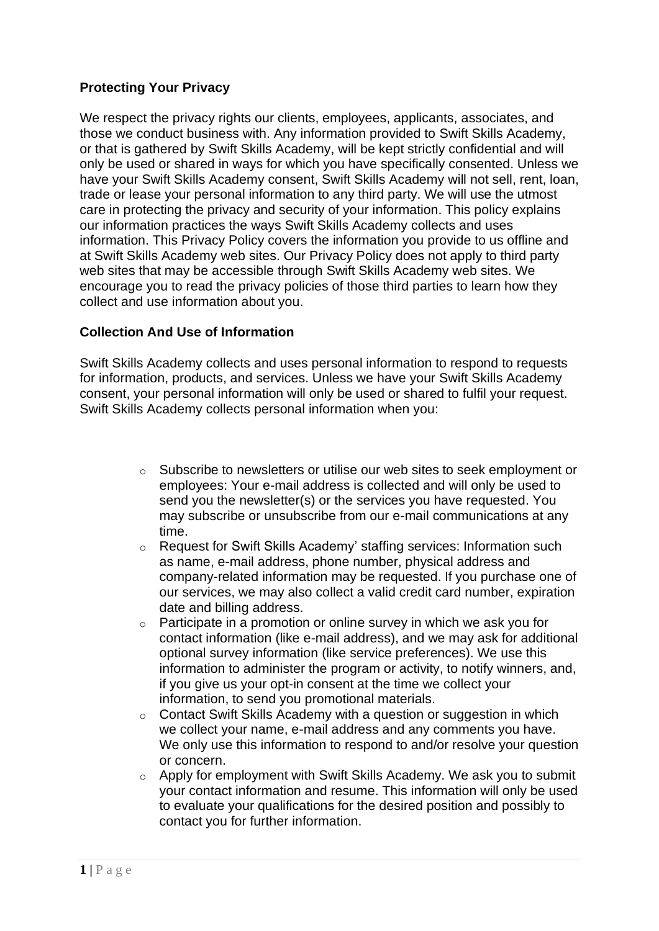## **Protecting Your Privacy**

We respect the privacy rights our clients, employees, applicants, associates, and those we conduct business with. Any information provided to Swift Skills Academy, or that is gathered by Swift Skills Academy, will be kept strictly confidential and will only be used or shared in ways for which you have specifically consented. Unless we have your Swift Skills Academy consent, Swift Skills Academy will not sell, rent, loan, trade or lease your personal information to any third party. We will use the utmost care in protecting the privacy and security of your information. This policy explains our information practices the ways Swift Skills Academy collects and uses information. This Privacy Policy covers the information you provide to us offline and at Swift Skills Academy web sites. Our Privacy Policy does not apply to third party web sites that may be accessible through Swift Skills Academy web sites. We encourage you to read the privacy policies of those third parties to learn how they collect and use information about you.

### **Collection And Use of Information**

Swift Skills Academy collects and uses personal information to respond to requests for information, products, and services. Unless we have your Swift Skills Academy consent, your personal information will only be used or shared to fulfil your request. Swift Skills Academy collects personal information when you:

- o Subscribe to newsletters or utilise our web sites to seek employment or employees: Your e-mail address is collected and will only be used to send you the newsletter(s) or the services you have requested. You may subscribe or unsubscribe from our e-mail communications at any time.
- o Request for Swift Skills Academy' staffing services: Information such as name, e-mail address, phone number, physical address and company-related information may be requested. If you purchase one of our services, we may also collect a valid credit card number, expiration date and billing address.
- $\circ$  Participate in a promotion or online survey in which we ask you for contact information (like e-mail address), and we may ask for additional optional survey information (like service preferences). We use this information to administer the program or activity, to notify winners, and, if you give us your opt-in consent at the time we collect your information, to send you promotional materials.
- o Contact Swift Skills Academy with a question or suggestion in which we collect your name, e-mail address and any comments you have. We only use this information to respond to and/or resolve your question or concern.
- o Apply for employment with Swift Skills Academy. We ask you to submit your contact information and resume. This information will only be used to evaluate your qualifications for the desired position and possibly to contact you for further information.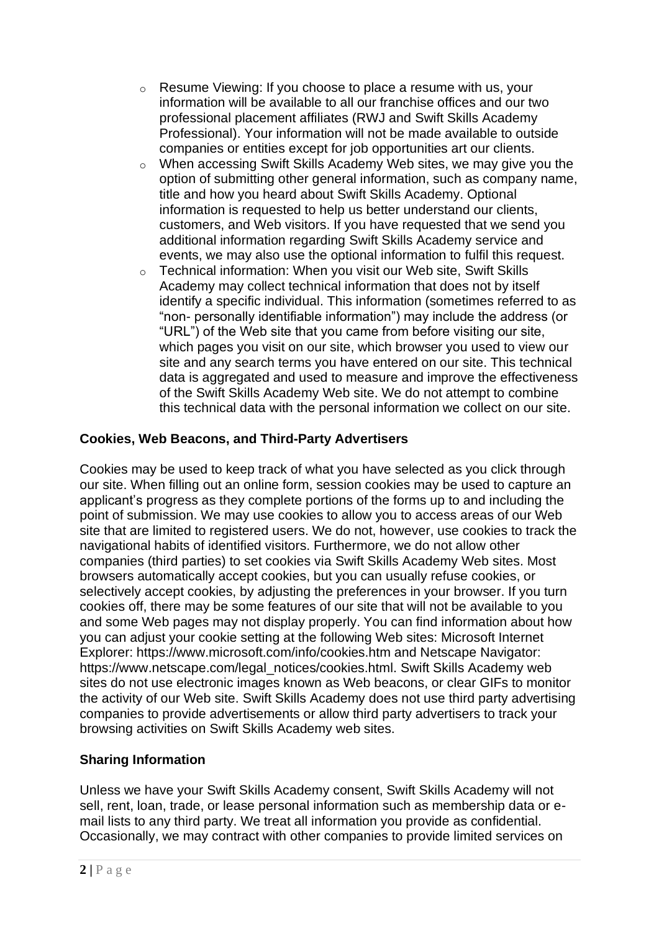- o Resume Viewing: If you choose to place a resume with us, your information will be available to all our franchise offices and our two professional placement affiliates (RWJ and Swift Skills Academy Professional). Your information will not be made available to outside companies or entities except for job opportunities art our clients.
- o When accessing Swift Skills Academy Web sites, we may give you the option of submitting other general information, such as company name, title and how you heard about Swift Skills Academy. Optional information is requested to help us better understand our clients, customers, and Web visitors. If you have requested that we send you additional information regarding Swift Skills Academy service and events, we may also use the optional information to fulfil this request.
- o Technical information: When you visit our Web site, Swift Skills Academy may collect technical information that does not by itself identify a specific individual. This information (sometimes referred to as "non- personally identifiable information") may include the address (or "URL") of the Web site that you came from before visiting our site, which pages you visit on our site, which browser you used to view our site and any search terms you have entered on our site. This technical data is aggregated and used to measure and improve the effectiveness of the Swift Skills Academy Web site. We do not attempt to combine this technical data with the personal information we collect on our site.

# **Cookies, Web Beacons, and Third-Party Advertisers**

Cookies may be used to keep track of what you have selected as you click through our site. When filling out an online form, session cookies may be used to capture an applicant's progress as they complete portions of the forms up to and including the point of submission. We may use cookies to allow you to access areas of our Web site that are limited to registered users. We do not, however, use cookies to track the navigational habits of identified visitors. Furthermore, we do not allow other companies (third parties) to set cookies via Swift Skills Academy Web sites. Most browsers automatically accept cookies, but you can usually refuse cookies, or selectively accept cookies, by adjusting the preferences in your browser. If you turn cookies off, there may be some features of our site that will not be available to you and some Web pages may not display properly. You can find information about how you can adjust your cookie setting at the following Web sites: Microsoft Internet Explorer: https://www.microsoft.com/info/cookies.htm and Netscape Navigator: https://www.netscape.com/legal\_notices/cookies.html. Swift Skills Academy web sites do not use electronic images known as Web beacons, or clear GIFs to monitor the activity of our Web site. Swift Skills Academy does not use third party advertising companies to provide advertisements or allow third party advertisers to track your browsing activities on Swift Skills Academy web sites.

# **Sharing Information**

Unless we have your Swift Skills Academy consent, Swift Skills Academy will not sell, rent, loan, trade, or lease personal information such as membership data or email lists to any third party. We treat all information you provide as confidential. Occasionally, we may contract with other companies to provide limited services on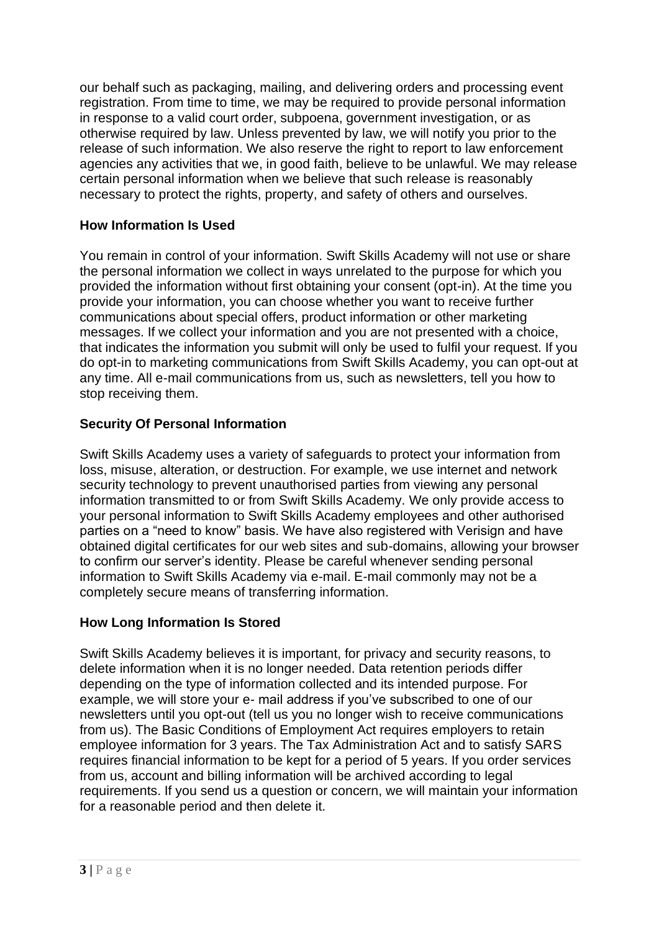our behalf such as packaging, mailing, and delivering orders and processing event registration. From time to time, we may be required to provide personal information in response to a valid court order, subpoena, government investigation, or as otherwise required by law. Unless prevented by law, we will notify you prior to the release of such information. We also reserve the right to report to law enforcement agencies any activities that we, in good faith, believe to be unlawful. We may release certain personal information when we believe that such release is reasonably necessary to protect the rights, property, and safety of others and ourselves.

## **How Information Is Used**

You remain in control of your information. Swift Skills Academy will not use or share the personal information we collect in ways unrelated to the purpose for which you provided the information without first obtaining your consent (opt-in). At the time you provide your information, you can choose whether you want to receive further communications about special offers, product information or other marketing messages. If we collect your information and you are not presented with a choice, that indicates the information you submit will only be used to fulfil your request. If you do opt-in to marketing communications from Swift Skills Academy, you can opt-out at any time. All e-mail communications from us, such as newsletters, tell you how to stop receiving them.

## **Security Of Personal Information**

Swift Skills Academy uses a variety of safeguards to protect your information from loss, misuse, alteration, or destruction. For example, we use internet and network security technology to prevent unauthorised parties from viewing any personal information transmitted to or from Swift Skills Academy. We only provide access to your personal information to Swift Skills Academy employees and other authorised parties on a "need to know" basis. We have also registered with Verisign and have obtained digital certificates for our web sites and sub-domains, allowing your browser to confirm our server's identity. Please be careful whenever sending personal information to Swift Skills Academy via e-mail. E-mail commonly may not be a completely secure means of transferring information.

### **How Long Information Is Stored**

Swift Skills Academy believes it is important, for privacy and security reasons, to delete information when it is no longer needed. Data retention periods differ depending on the type of information collected and its intended purpose. For example, we will store your e- mail address if you've subscribed to one of our newsletters until you opt-out (tell us you no longer wish to receive communications from us). The Basic Conditions of Employment Act requires employers to retain employee information for 3 years. The Tax Administration Act and to satisfy SARS requires financial information to be kept for a period of 5 years. If you order services from us, account and billing information will be archived according to legal requirements. If you send us a question or concern, we will maintain your information for a reasonable period and then delete it.